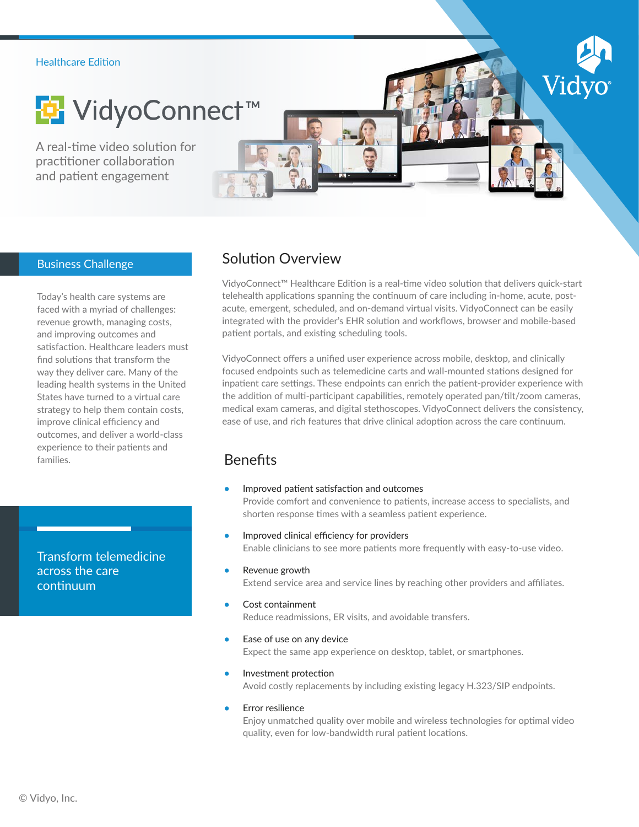### Healthcare Edition



A real-time video solution for practitioner collaboration and patient engagement



## Business Challenge

Today's health care systems are faced with a myriad of challenges: revenue growth, managing costs, and improving outcomes and satisfaction. Healthcare leaders must find solutions that transform the way they deliver care. Many of the leading health systems in the United States have turned to a virtual care strategy to help them contain costs, improve clinical efficiency and outcomes, and deliver a world-class experience to their patients and families.

Transform telemedicine across the care continuum

# Solution Overview

VidyoConnect™ Healthcare Edition is a real-time video solution that delivers quick-start telehealth applications spanning the continuum of care including in-home, acute, postacute, emergent, scheduled, and on-demand virtual visits. VidyoConnect can be easily integrated with the provider's EHR solution and workflows, browser and mobile-based patient portals, and existing scheduling tools.

Vic

VidyoConnect offers a unified user experience across mobile, desktop, and clinically focused endpoints such as telemedicine carts and wall-mounted stations designed for inpatient care settings. These endpoints can enrich the patient-provider experience with the addition of multi-participant capabilities, remotely operated pan/tilt/zoom cameras, medical exam cameras, and digital stethoscopes. VidyoConnect delivers the consistency, ease of use, and rich features that drive clinical adoption across the care continuum.

## **Benefits**

- **•** Improved patient satisfaction and outcomes Provide comfort and convenience to patients, increase access to specialists, and shorten response times with a seamless patient experience.
- **•** Improved clinical efficiency for providers Enable clinicians to see more patients more frequently with easy-to-use video.
- **•** Revenue growth

Extend service area and service lines by reaching other providers and affiliates.

- **•** Cost containment Reduce readmissions, ER visits, and avoidable transfers.
- **•** Ease of use on any device Expect the same app experience on desktop, tablet, or smartphones.
- **•** Investment protection Avoid costly replacements by including existing legacy H.323/SIP endpoints.
- **•** Error resilience

Enjoy unmatched quality over mobile and wireless technologies for optimal video quality, even for low-bandwidth rural patient locations.